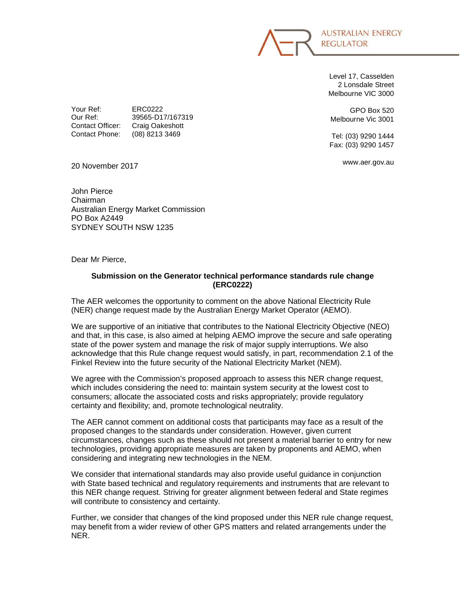**AUSTRALIAN ENERGY REGULATOR** 

Level 17, Casselden 2 Lonsdale Street Melbourne VIC 3000

GPO Box 520 Melbourne Vic 3001

Tel: (03) 9290 1444 Fax: (03) 9290 1457

www.aer.gov.au

20 November 2017

Your Ref: ERC0222

Contact Officer: Craig Oakeshott Contact Phone: (08) 8213 3469

John Pierce Chairman Australian Energy Market Commission PO Box A2449 SYDNEY SOUTH NSW 1235

Our Ref: 39565-D17/167319

Dear Mr Pierce,

## **Submission on the Generator technical performance standards rule change (ERC0222)**

The AER welcomes the opportunity to comment on the above National Electricity Rule (NER) change request made by the Australian Energy Market Operator (AEMO).

We are supportive of an initiative that contributes to the National Electricity Objective (NEO) and that, in this case, is also aimed at helping AEMO improve the secure and safe operating state of the power system and manage the risk of major supply interruptions. We also acknowledge that this Rule change request would satisfy, in part, recommendation 2.1 of the Finkel Review into the future security of the National Electricity Market (NEM).

We agree with the Commission's proposed approach to assess this NER change request, which includes considering the need to: maintain system security at the lowest cost to consumers; allocate the associated costs and risks appropriately; provide regulatory certainty and flexibility; and, promote technological neutrality.

The AER cannot comment on additional costs that participants may face as a result of the proposed changes to the standards under consideration. However, given current circumstances, changes such as these should not present a material barrier to entry for new technologies, providing appropriate measures are taken by proponents and AEMO, when considering and integrating new technologies in the NEM.

We consider that international standards may also provide useful guidance in conjunction with State based technical and regulatory requirements and instruments that are relevant to this NER change request. Striving for greater alignment between federal and State regimes will contribute to consistency and certainty.

Further, we consider that changes of the kind proposed under this NER rule change request, may benefit from a wider review of other GPS matters and related arrangements under the NER.